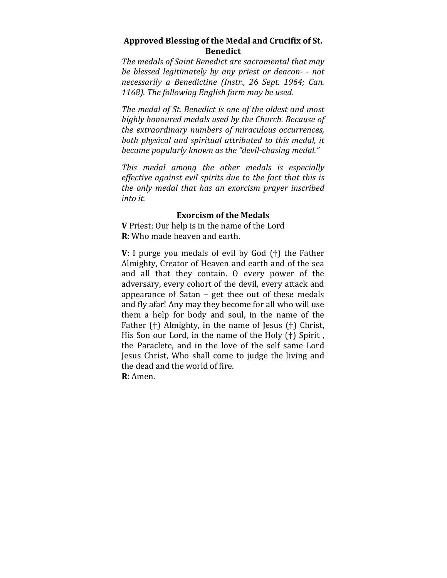## Approved Blessing of the Medal and Crucifix of St. **Benedict**

The medals of Saint Benedict are sacramental that may *be blessed legitimately by any priest or deacon- - not necessarily a Benedictine (Instr., 26 Sept. 1964; Can.*  1168). The following English form may be used.

The medal of St. Benedict is one of the oldest and most highly honoured medals used by the Church. Because of *the extraordinary numbers of miraculous occurrences,* both physical and spiritual attributed to this medal, it *became popularly known as the "devil-chasing medal."* 

*This medal among the other medals is especially effective against evil spirits due to the fact that this is* the only medal that has an exorcism prayer inscribed *into it.* 

## **Exorcism of the Medals**

**V** Priest: Our help is in the name of the Lord **R**: Who made heaven and earth.

**V**: I purge you medals of evil by God (†) the Father Almighty, Creator of Heaven and earth and of the sea and all that they contain. O every power of the adversary, every cohort of the devil, every attack and appearance of Satan  $-$  get thee out of these medals and fly afar! Any may they become for all who will use them a help for body and soul, in the name of the Father  $(+)$  Almighty, in the name of Jesus  $(+)$  Christ, His Son our Lord, in the name of the Holy  $(+)$  Spirit, the Paraclete, and in the love of the self same Lord Jesus Christ, Who shall come to judge the living and the dead and the world of fire. **R**: Amen.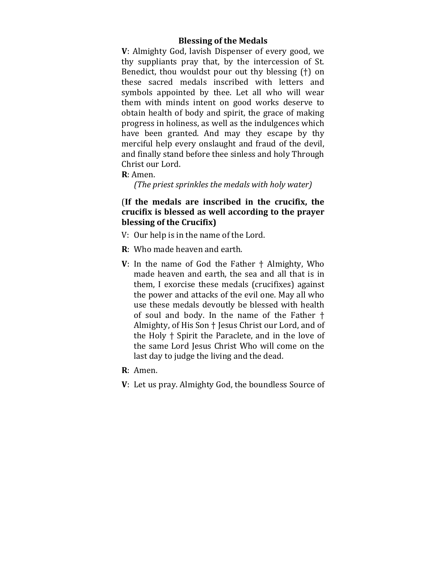### **Blessing of the Medals**

**V**: Almighty God, lavish Dispenser of every good, we thy suppliants pray that, by the intercession of St. Benedict, thou wouldst pour out thy blessing  $(+)$  on these sacred medals inscribed with letters and symbols appointed by thee. Let all who will wear them with minds intent on good works deserve to obtain health of body and spirit, the grace of making progress in holiness, as well as the indulgences which have been granted. And may they escape by thy merciful help every onslaught and fraud of the devil, and finally stand before thee sinless and holy Through Christ our Lord.

**R**: Amen. 

*(The priest sprinkles the medals with holy water)* 

# (If the medals are inscribed in the crucifix, the crucifix is blessed as well according to the prayer **blessing of the Crucifix)**

- V: Our help is in the name of the Lord.
- **R**: Who made heaven and earth.
- **V**: In the name of God the Father  $\dagger$  Almighty, Who made heaven and earth, the sea and all that is in them, I exorcise these medals (crucifixes) against the power and attacks of the evil one. May all who use these medals devoutly be blessed with health of soul and body. In the name of the Father  $\dagger$ Almighty, of His Son <sup>†</sup> Jesus Christ our Lord, and of the Holy  $\dagger$  Spirit the Paraclete, and in the love of the same Lord Jesus Christ Who will come on the last day to judge the living and the dead.
- **R**: Amen.
- **V**: Let us pray. Almighty God, the boundless Source of